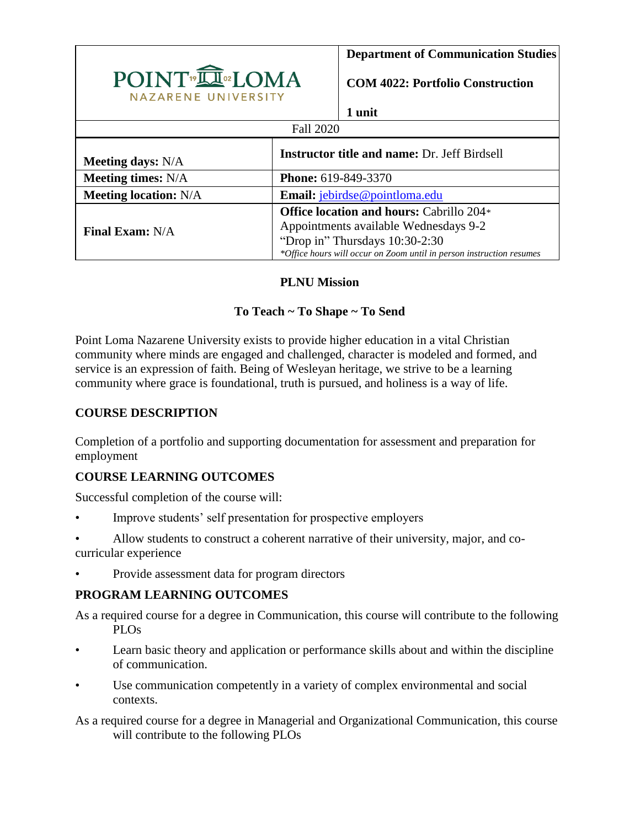|                                                | <b>Department of Communication Studies</b>                                                             |
|------------------------------------------------|--------------------------------------------------------------------------------------------------------|
| POINT <sup>®</sup> IOMA<br>NAZARENE UNIVERSITY | <b>COM 4022: Portfolio Construction</b>                                                                |
|                                                | 1 unit                                                                                                 |
| <b>Fall 2020</b>                               |                                                                                                        |
| <b>Meeting days:</b> N/A                       | <b>Instructor title and name: Dr. Jeff Birdsell</b>                                                    |
| <b>Meeting times:</b> N/A                      | <b>Phone:</b> 619-849-3370                                                                             |
| <b>Meeting location: N/A</b>                   | <b>Email:</b> jebirdse@pointloma.edu                                                                   |
| <b>Final Exam: N/A</b>                         | <b>Office location and hours: Cabrillo 204*</b>                                                        |
|                                                | Appointments available Wednesdays 9-2                                                                  |
|                                                | "Drop in" Thursdays 10:30-2:30<br>*Office hours will occur on Zoom until in person instruction resumes |

## **PLNU Mission**

## **To Teach ~ To Shape ~ To Send**

Point Loma Nazarene University exists to provide higher education in a vital Christian community where minds are engaged and challenged, character is modeled and formed, and service is an expression of faith. Being of Wesleyan heritage, we strive to be a learning community where grace is foundational, truth is pursued, and holiness is a way of life.

## **COURSE DESCRIPTION**

Completion of a portfolio and supporting documentation for assessment and preparation for employment

## **COURSE LEARNING OUTCOMES**

Successful completion of the course will:

Improve students' self presentation for prospective employers

• Allow students to construct a coherent narrative of their university, major, and cocurricular experience

• Provide assessment data for program directors

#### **PROGRAM LEARNING OUTCOMES**

As a required course for a degree in Communication, this course will contribute to the following PLOs

- Learn basic theory and application or performance skills about and within the discipline of communication.
- Use communication competently in a variety of complex environmental and social contexts.

As a required course for a degree in Managerial and Organizational Communication, this course will contribute to the following PLOs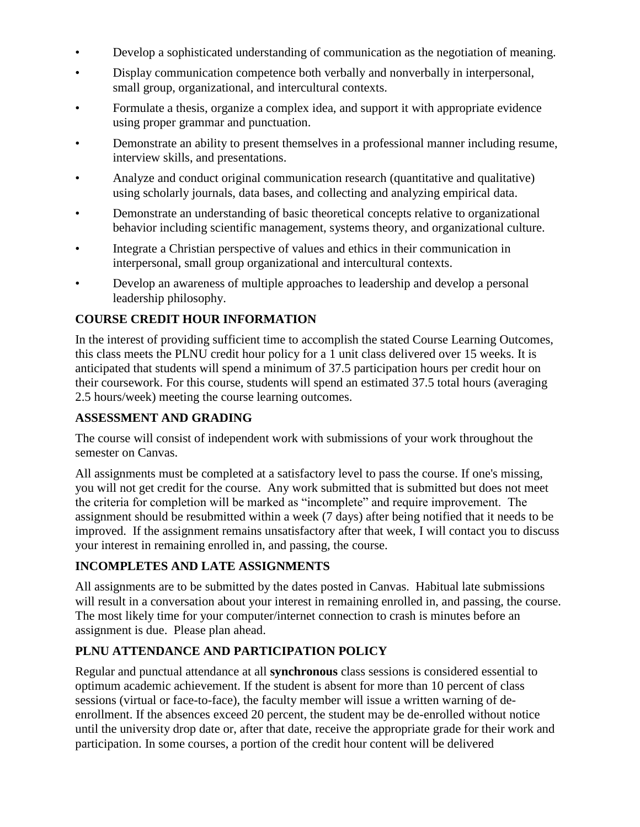- Develop a sophisticated understanding of communication as the negotiation of meaning.
- Display communication competence both verbally and nonverbally in interpersonal, small group, organizational, and intercultural contexts.
- Formulate a thesis, organize a complex idea, and support it with appropriate evidence using proper grammar and punctuation.
- Demonstrate an ability to present themselves in a professional manner including resume, interview skills, and presentations.
- Analyze and conduct original communication research (quantitative and qualitative) using scholarly journals, data bases, and collecting and analyzing empirical data.
- Demonstrate an understanding of basic theoretical concepts relative to organizational behavior including scientific management, systems theory, and organizational culture.
- Integrate a Christian perspective of values and ethics in their communication in interpersonal, small group organizational and intercultural contexts.
- Develop an awareness of multiple approaches to leadership and develop a personal leadership philosophy.

# **COURSE CREDIT HOUR INFORMATION**

In the interest of providing sufficient time to accomplish the stated Course Learning Outcomes, this class meets the PLNU credit hour policy for a 1 unit class delivered over 15 weeks. It is anticipated that students will spend a minimum of 37.5 participation hours per credit hour on their coursework. For this course, students will spend an estimated 37.5 total hours (averaging 2.5 hours/week) meeting the course learning outcomes.

## **ASSESSMENT AND GRADING**

The course will consist of independent work with submissions of your work throughout the semester on Canvas.

All assignments must be completed at a satisfactory level to pass the course. If one's missing, you will not get credit for the course. Any work submitted that is submitted but does not meet the criteria for completion will be marked as "incomplete" and require improvement. The assignment should be resubmitted within a week (7 days) after being notified that it needs to be improved. If the assignment remains unsatisfactory after that week, I will contact you to discuss your interest in remaining enrolled in, and passing, the course.

# **INCOMPLETES AND LATE ASSIGNMENTS**

All assignments are to be submitted by the dates posted in Canvas. Habitual late submissions will result in a conversation about your interest in remaining enrolled in, and passing, the course. The most likely time for your computer/internet connection to crash is minutes before an assignment is due. Please plan ahead.

# **PLNU ATTENDANCE AND PARTICIPATION POLICY**

Regular and punctual attendance at all **synchronous** class sessions is considered essential to optimum academic achievement. If the student is absent for more than 10 percent of class sessions (virtual or face-to-face), the faculty member will issue a written warning of deenrollment. If the absences exceed 20 percent, the student may be de-enrolled without notice until the university drop date or, after that date, receive the appropriate grade for their work and participation. In some courses, a portion of the credit hour content will be delivered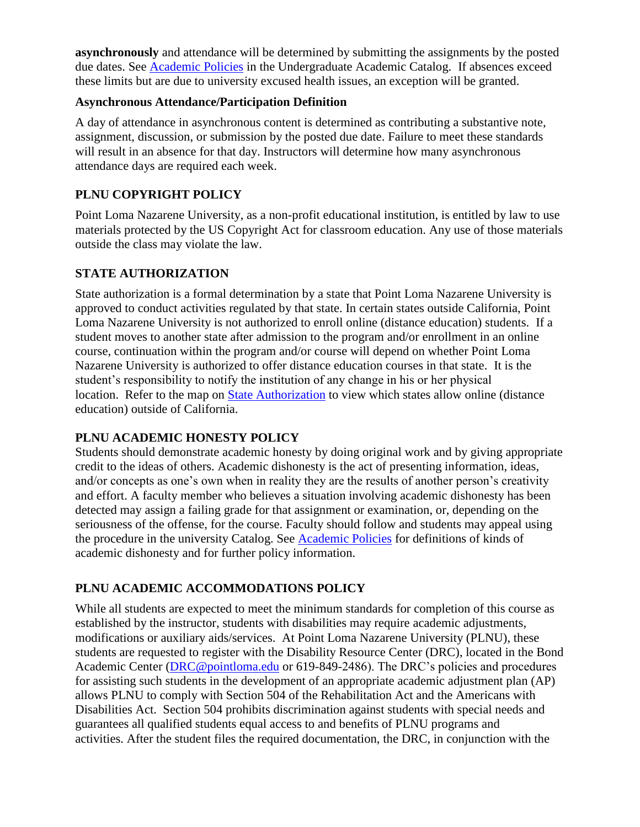**asynchronously** and attendance will be determined by submitting the assignments by the posted due dates. See [Academic Policies](https://catalog.pointloma.edu/content.php?catoid=46&navoid=2650#Class_Attendance) in the Undergraduate Academic Catalog. If absences exceed these limits but are due to university excused health issues, an exception will be granted.

#### **Asynchronous Attendance/Participation Definition**

A day of attendance in asynchronous content is determined as contributing a substantive note, assignment, discussion, or submission by the posted due date. Failure to meet these standards will result in an absence for that day. Instructors will determine how many asynchronous attendance days are required each week.

## **PLNU COPYRIGHT POLICY**

Point Loma Nazarene University, as a non-profit educational institution, is entitled by law to use materials protected by the US Copyright Act for classroom education. Any use of those materials outside the class may violate the law.

## **STATE AUTHORIZATION**

State authorization is a formal determination by a state that Point Loma Nazarene University is approved to conduct activities regulated by that state. In certain states outside California, Point Loma Nazarene University is not authorized to enroll online (distance education) students. If a student moves to another state after admission to the program and/or enrollment in an online course, continuation within the program and/or course will depend on whether Point Loma Nazarene University is authorized to offer distance education courses in that state. It is the student's responsibility to notify the institution of any change in his or her physical location. Refer to the map on **State Authorization** to view which states allow online (distance education) outside of California.

#### **PLNU ACADEMIC HONESTY POLICY**

Students should demonstrate academic honesty by doing original work and by giving appropriate credit to the ideas of others. Academic dishonesty is the act of presenting information, ideas, and/or concepts as one's own when in reality they are the results of another person's creativity and effort. A faculty member who believes a situation involving academic dishonesty has been detected may assign a failing grade for that assignment or examination, or, depending on the seriousness of the offense, for the course. Faculty should follow and students may appeal using the procedure in the university Catalog. See [Academic Policies](https://catalog.pointloma.edu/content.php?catoid=41&navoid=2435#Academic_Honesty) for definitions of kinds of academic dishonesty and for further policy information.

#### **PLNU ACADEMIC ACCOMMODATIONS POLICY**

While all students are expected to meet the minimum standards for completion of this course as established by the instructor, students with disabilities may require academic adjustments, modifications or auxiliary aids/services. At Point Loma Nazarene University (PLNU), these students are requested to register with the Disability Resource Center (DRC), located in the Bond Academic Center [\(DRC@pointloma.edu](mailto:DRC@pointloma.edu) or 619-849-2486). The DRC's policies and procedures for assisting such students in the development of an appropriate academic adjustment plan (AP) allows PLNU to comply with Section 504 of the Rehabilitation Act and the Americans with Disabilities Act. Section 504 prohibits discrimination against students with special needs and guarantees all qualified students equal access to and benefits of PLNU programs and activities. After the student files the required documentation, the DRC, in conjunction with the